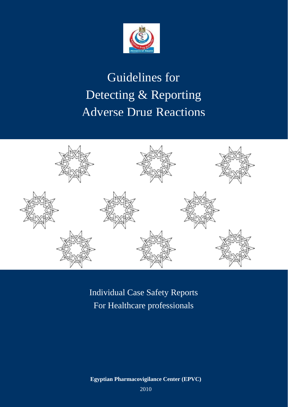

# Guidelines for Detecting & Reporting Adverse Drug Reactions



Individual Case Safety Reports For Healthcare professionals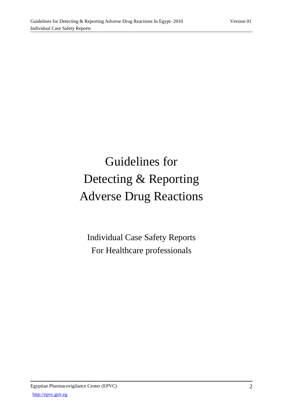# Guidelines for Detecting & Reporting Adverse Drug Reactions

Individual Case Safety Reports For Healthcare professionals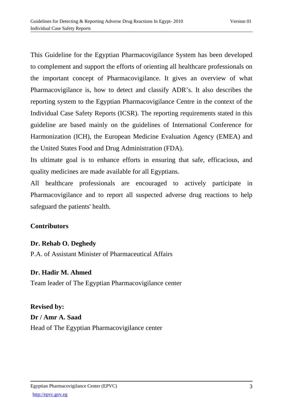This Guideline for the Egyptian Pharmacovigilance System has been developed to complement and support the efforts of orienting all healthcare professionals on the important concept of Pharmacovigilance. It gives an overview of what Pharmacovigilance is, how to detect and classify ADR's. It also describes the reporting system to the Egyptian Pharmacovigilance Centre in the context of the Individual Case Safety Reports (ICSR). The reporting requirements stated in this guideline are based mainly on the guidelines of International Conference for Harmonization (ICH), the European Medicine Evaluation Agency (EMEA) and the United States Food and Drug Administration (FDA).

Its ultimate goal is to enhance efforts in ensuring that safe, efficacious, and quality medicines are made available for all Egyptians.

All healthcare professionals are encouraged to actively participate in Pharmacovigilance and to report all suspected adverse drug reactions to help safeguard the patients' health.

## **Contributors**

## **Dr. Rehab O. Deghedy**

P.A. of Assistant Minister of Pharmaceutical Affairs

## **Dr. Hadir M. Ahmed**

Team leader of The Egyptian Pharmacovigilance center

# **Revised by: Dr / Amr A. Saad**  Head of The Egyptian Pharmacovigilance center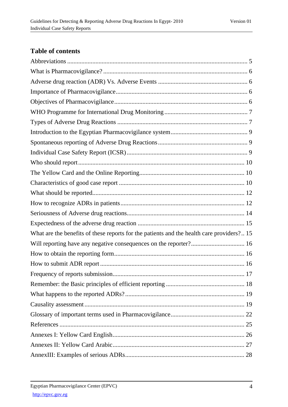# **Table of contents**

| What are the benefits of these reports for the patients and the health care providers? 15 |  |
|-------------------------------------------------------------------------------------------|--|
|                                                                                           |  |
|                                                                                           |  |
|                                                                                           |  |
|                                                                                           |  |
|                                                                                           |  |
|                                                                                           |  |
|                                                                                           |  |
|                                                                                           |  |
|                                                                                           |  |
|                                                                                           |  |
|                                                                                           |  |
|                                                                                           |  |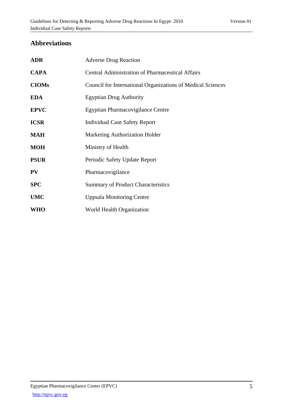## **Abbreviations**

| <b>ADR</b>   | <b>Adverse Drug Reaction</b>                                       |
|--------------|--------------------------------------------------------------------|
| <b>CAPA</b>  | <b>Central Administration of Pharmaceutical Affairs</b>            |
| <b>CIOMs</b> | <b>Council for International Organizations of Medical Sciences</b> |
| <b>EDA</b>   | <b>Egyptian Drug Authority</b>                                     |
| <b>EPVC</b>  | <b>Egyptian Pharmacovigilance Centre</b>                           |
| <b>ICSR</b>  | <b>Individual Case Safety Report</b>                               |
| <b>MAH</b>   | <b>Marketing Authorization Holder</b>                              |
| <b>MOH</b>   | Ministry of Health                                                 |
| <b>PSUR</b>  | Periodic Safety Update Report                                      |
| PV           | Pharmacovigilance                                                  |
| <b>SPC</b>   | <b>Summary of Product Characteristics</b>                          |
| <b>UMC</b>   | <b>Uppsala Monitoring Centre</b>                                   |
| <b>WHO</b>   | World Health Organization                                          |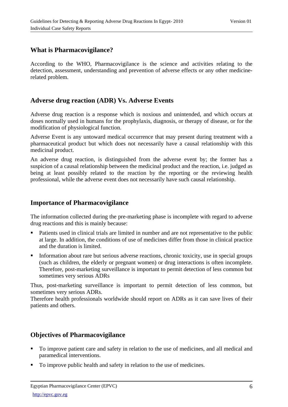## **What is Pharmacovigilance?**

According to the WHO, Pharmacovigilance is the science and activities relating to the detection, assessment, understanding and prevention of adverse effects or any other medicinerelated problem.

## **Adverse drug reaction (ADR) Vs. Adverse Events**

Adverse drug reaction is a response which is noxious and unintended, and which occurs at doses normally used in humans for the prophylaxis, diagnosis, or therapy of disease, or for the modification of physiological function.

Adverse Event is any untoward medical occurrence that may present during treatment with a pharmaceutical product but which does not necessarily have a causal relationship with this medicinal product.

An adverse drug reaction, is distinguished from the adverse event by; the former has a suspicion of a causal relationship between the medicinal product and the reaction, i.e. judged as being at least possibly related to the reaction by the reporting or the reviewing health professional, while the adverse event does not necessarily have such causal relationship.

## **Importance of Pharmacovigilance**

The information collected during the pre-marketing phase is incomplete with regard to adverse drug reactions and this is mainly because:

- Patients used in clinical trials are limited in number and are not representative to the public at large. In addition, the conditions of use of medicines differ from those in clinical practice and the duration is limited.
- Information about rare but serious adverse reactions, chronic toxicity, use in special groups (such as children, the elderly or pregnant women) or drug interactions is often incomplete. Therefore, post-marketing surveillance is important to permit detection of less common but sometimes very serious ADRs

Thus, post-marketing surveillance is important to permit detection of less common, but sometimes very serious ADRs.

Therefore health professionals worldwide should report on ADRs as it can save lives of their patients and others.

## **Objectives of Pharmacovigilance**

- To improve patient care and safety in relation to the use of medicines, and all medical and paramedical interventions.
- To improve public health and safety in relation to the use of medicines.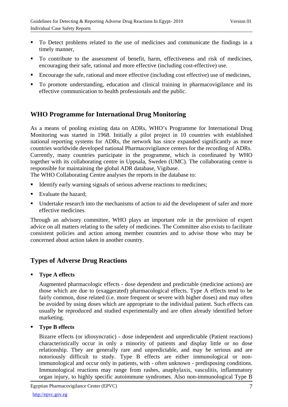- To Detect problems related to the use of medicines and communicate the findings in a timely manner,
- To contribute to the assessment of benefit, harm, effectiveness and risk of medicines, encouraging their safe, rational and more effective (including cost-effective) use.
- Encourage the safe, rational and more effective (including cost effective) use of medicines,
- To promote understanding, education and clinical training in pharmacovigilance and its effective communication to health professionals and the public.

## **WHO Programme for International Drug Monitoring**

As a means of pooling existing data on ADRs, WHO's Programme for International Drug Monitoring was started in 1968. Initially a pilot project in 10 countries with established national reporting systems for ADRs, the network has since expanded significantly as more countries worldwide developed national Pharmacovigilance centers for the recording of ADRs. Currently, many countries participate in the programme, which is coordinated by WHO together with its collaborating centre in Uppsala, Sweden (UMC). The collaborating centre is responsible for maintaining the global ADR database, Vigibase.

The WHO Collaborating Centre analyses the reports in the database to:

- Identify early warning signals of serious adverse reactions to medicines;
- Evaluate the hazard;
- Undertake research into the mechanisms of action to aid the development of safer and more effective medicines.

Through an advisory committee, WHO plays an important role in the provision of expert advice on all matters relating to the safety of medicines. The Committee also exists to facilitate consistent policies and action among member countries and to advise those who may be concerned about action taken in another country.

## **Types of Adverse Drug Reactions**

**Type A effects** 

Augmented pharmacologic effects - dose dependent and predictable (medicine actions) are those which are due to (exaggerated) pharmacological effects. Type A effects tend to be fairly common, dose related (i.e. more frequent or severe with higher doses) and may often be avoided by using doses which are appropriate to the individual patient. Such effects can usually be reproduced and studied experimentally and are often already identified before marketing.

**Type B effects** 

Bizarre effects (or idiosyncratic) - dose independent and unpredictable (Patient reactions) characteristically occur in only a minority of patients and display little or no dose relationship. They are generally rare and unpredictable, and may be serious and are notoriously difficult to study. Type B effects are either immunological or nonimmunological and occur only in patients, with - often unknown - predisposing conditions. Immunological reactions may range from rashes, anaphylaxis, vasculitis, inflammatory organ injury, to highly specific autoimmune syndromes. Also non-immunological Type B

Egyptian Pharmacovigilance Center (EPVC)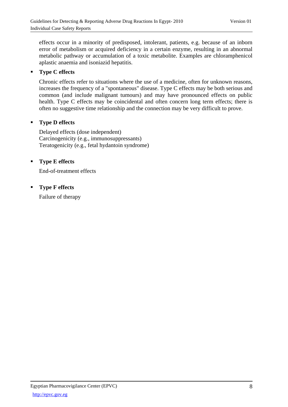effects occur in a minority of predisposed, intolerant, patients, e.g. because of an inborn error of metabolism or acquired deficiency in a certain enzyme, resulting in an abnormal metabolic pathway or accumulation of a toxic metabolite. Examples are chloramphenicol aplastic anaemia and isoniazid hepatitis.

## **Type C effects**

Chronic effects refer to situations where the use of a medicine, often for unknown reasons, increases the frequency of a "spontaneous" disease. Type C effects may be both serious and common (and include malignant tumours) and may have pronounced effects on public health. Type C effects may be coincidental and often concern long term effects; there is often no suggestive time relationship and the connection may be very difficult to prove.

## **Type D effects**

Delayed effects (dose independent) Carcinogenicity (e.g., immunosuppressants) Teratogenicity (e.g., fetal hydantoin syndrome)

## **Type E effects**

End-of-treatment effects

**Type F effects** 

Failure of therapy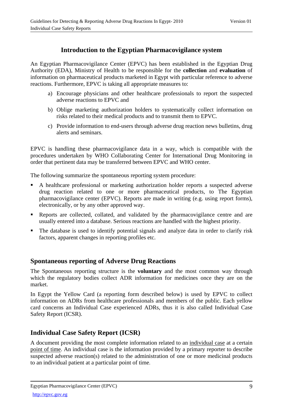## **Introduction to the Egyptian Pharmacovigilance system**

An Egyptian Pharmacovigilance Center (EPVC) has been established in the Egyptian Drug Authority (EDA), Ministry of Health to be responsible for the **collection** and **evaluation** of information on pharmaceutical products marketed in Egypt with particular reference to adverse reactions. Furthermore, EPVC is taking all appropriate measures to:

- a) Encourage physicians and other healthcare professionals to report the suspected adverse reactions to EPVC and
- b) Oblige marketing authorization holders to systematically collect information on risks related to their medical products and to transmit them to EPVC.
- c) Provide information to end-users through adverse drug reaction news bulletins, drug alerts and seminars.

EPVC is handling these pharmacovigilance data in a way, which is compatible with the procedures undertaken by WHO Collaborating Center for International Drug Monitoring in order that pertinent data may be transferred between EPVC and WHO center.

The following summarize the spontaneous reporting system procedure:

- A healthcare professional or marketing authorization holder reports a suspected adverse drug reaction related to one or more pharmaceutical products, to The Egyptian pharmacovigilance center (EPVC). Reports are made in writing (e.g. using report forms), electronically, or by any other approved way.
- Reports are collected, collated, and validated by the pharmacovigilance centre and are usually entered into a database. Serious reactions are handled with the highest priority.
- The database is used to identify potential signals and analyze data in order to clarify risk factors, apparent changes in reporting profiles etc.

## **Spontaneous reporting of Adverse Drug Reactions**

The Spontaneous reporting structure is the **voluntary** and the most common way through which the regulatory bodies collect ADR information for medicines once they are on the market.

In Egypt the Yellow Card (a reporting form described below) is used by EPVC to collect information on ADRs from healthcare professionals and members of the public. Each yellow card concerns an Individual Case experienced ADRs, thus it is also called Individual Case Safety Report (ICSR).

## **Individual Case Safety Report (ICSR)**

A document providing the most complete information related to an individual case at a certain point of time. An individual case is the information provided by a primary reporter to describe suspected adverse reaction(s) related to the administration of one or more medicinal products to an individual patient at a particular point of time.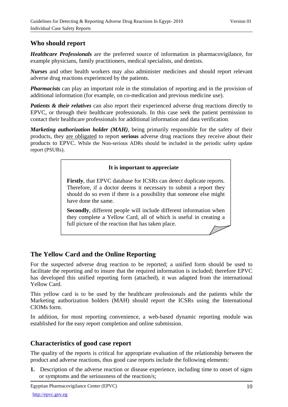## **Who should report**

*Healthcare Professionals* are the preferred source of information in pharmacovigilance, for example physicians, family practitioners, medical specialists, and dentists.

*Nurses* and other health workers may also administer medicines and should report relevant adverse drug reactions experienced by the patients.

*Pharmacists* can play an important role in the stimulation of reporting and in the provision of additional information (for example, on co-medication and previous medicine use).

*Patients* & *their relatives* can also report their experienced adverse drug reactions directly to EPVC, or through their healthcare professionals. In this case seek the patient permission to contact their healthcare professionals for additional information and data verification.

*Marketing authorization holder (MAH)*, being primarily responsible for the safety of their products, they are obligated to report **serious** adverse drug reactions they receive about their products to EPVC. While the Non-serious ADRs should be included in the periodic safety update report (PSURs).

## **It is important to appreciate**

**Firstly**, that EPVC database for ICSRs can detect duplicate reports. Therefore, if a doctor deems it necessary to submit a report they should do so even if there is a possibility that someone else might have done the same.

**Secondly**, different people will include different information when they complete a Yellow Card, all of which is useful in creating a full picture of the reaction that has taken place.

## **The Yellow Card and the Online Reporting**

For the suspected adverse drug reaction to be reported; a unified form should be used to facilitate the reporting and to insure that the required information is included; therefore EPVC has developed this unified reporting form (attached), it was adapted from the international Yellow Card.

This yellow card is to be used by the healthcare professionals and the patients while the Marketing authorization holders (MAH) should report the ICSRs using the International CIOMs form.

In addition, for most reporting convenience, a web-based dynamic reporting module was established for the easy report completion and online submission.

## **Characteristics of good case report**

The quality of the reports is critical for appropriate evaluation of the relationship between the product and adverse reactions, thus good case reports include the following elements:

**1.** Description of the adverse reaction or disease experience, including time to onset of signs or symptoms and the seriousness of the reaction/s;

Egyptian Pharmacovigilance Center (EPVC)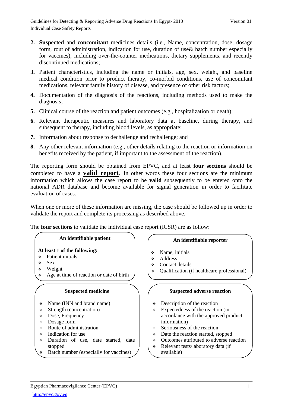- **2. Suspected** and **concomitant** medicines details (i.e., Name, concentration, dose, dosage form, rout of administration, indication for use, duration of use& batch number especially for vaccines), including over-the-counter medications, dietary supplements, and recently discontinued medications;
- **3.** Patient characteristics, including the name or initials, age, sex, weight, and baseline medical condition prior to product therapy, co-morbid conditions, use of concomitant medications, relevant family history of disease, and presence of other risk factors;
- **4.** Documentation of the diagnosis of the reactions, including methods used to make the diagnosis;
- **5.** Clinical course of the reaction and patient outcomes (e.g., hospitalization or death);
- **6.** Relevant therapeutic measures and laboratory data at baseline, during therapy, and subsequent to therapy, including blood levels, as appropriate;
- **7.** Information about response to dechallenge and rechallenge; and
- **8.** Any other relevant information (e.g., other details relating to the reaction or information on benefits received by the patient, if important to the assessment of the reaction).

The reporting form should be obtained from EPVC, and at least **four sections** should be completed to have a **valid report**. In other words these four sections are the minimum information which allows the case report to be **valid** subsequently to be entered onto the national ADR database and become available for signal generation in order to facilitate evaluation of cases.

When one or more of these information are missing, the case should be followed up in order to validate the report and complete its processing as described above.

The **four sections** to validate the individual case report (ICSR) are as follow:

#### **An identifiable patient**

## **At least 1 of the following:**

- Patient initials
- Sex
- Weight
- Age at time of reaction or date of birth

#### **Suspected medicine**

- $\div$  Name (INN and brand name)
- $\div$  Strength (concentration)
- **Example 3** Dose, Frequency
- **\*** Dosage form
- $\div$  Route of administration
- $\div$  Indication for use
- Duration of use, date started, date stopped
- Batch number (especially for vaccines)

#### **An identifiable reporter**

- Name, initials
- Address
- **↑** Contact details
- Qualification (if healthcare professional)

#### **Suspected adverse reaction**

- Description of the reaction
- $\div$  Expectedness of the reaction (in accordance with the approved product information)
- $\div$  Seriousness of the reaction
- Date the reaction started, stopped
- Outcomes attributed to adverse reaction
- Relevant tests/laboratory data (if available)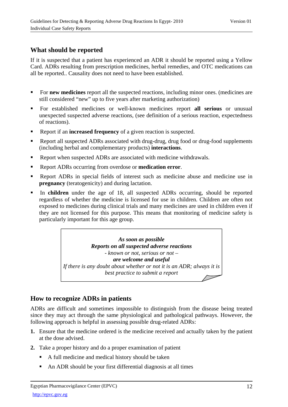## **What should be reported**

If it is suspected that a patient has experienced an ADR it should be reported using a Yellow Card. ADRs resulting from prescription medicines, herbal remedies, and OTC medications can all be reported.. Causality does not need to have been established.

- For **new medicines** report all the suspected reactions, including minor ones. (medicines are still considered "new" up to five years after marketing authorization)
- For established medicines or well-known medicines report **all serious** or unusual unexpected suspected adverse reactions, (see definition of a serious reaction, expectedness of reactions).
- Report if an **increased frequency** of a given reaction is suspected.
- Report all suspected ADRs associated with drug-drug, drug food or drug-food supplements (including herbal and complementary products) **interactions**.
- Report when suspected ADRs are associated with medicine withdrawals.
- Report ADRs occurring from overdose or **medication error**.
- Report ADRs in special fields of interest such as medicine abuse and medicine use in **pregnancy** (teratogenicity) and during lactation.
- In **children** under the age of 18, all suspected ADRs occurring, should be reported regardless of whether the medicine is licensed for use in children. Children are often not exposed to medicines during clinical trials and many medicines are used in children even if they are not licensed for this purpose. This means that monitoring of medicine safety is particularly important for this age group.

*As soon as possible Reports on all suspected adverse reactions - known or not, serious or not – are welcome and useful If there is any doubt about whether or not it is an ADR; always it is best practice to submit a report* 

## **How to recognize ADRs in patients**

ADRs are difficult and sometimes impossible to distinguish from the disease being treated since they may act through the same physiological and pathological pathways. However, the following approach is helpful in assessing possible drug-related ADRs:

- **1.** Ensure that the medicine ordered is the medicine received and actually taken by the patient at the dose advised.
- **2.** Take a proper history and do a proper examination of patient
	- A full medicine and medical history should be taken
	- An ADR should be your first differential diagnosis at all times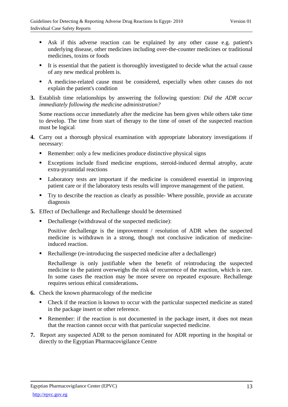- Ask if this adverse reaction can be explained by any other cause e.g. patient's underlying disease, other medicines including over-the-counter medicines or traditional medicines, toxins or foods
- It is essential that the patient is thoroughly investigated to decide what the actual cause of any new medical problem is.
- A medicine-related cause must be considered, especially when other causes do not explain the patient's condition
- **3.** Establish time relationships by answering the following question: *Did the ADR occur immediately following the medicine administration?*

Some reactions occur immediately after the medicine has been given while others take time to develop. The time from start of therapy to the time of onset of the suspected reaction must be logical.

- **4.** Carry out a thorough physical examination with appropriate laboratory investigations if necessary:
	- Remember: only a few medicines produce distinctive physical signs
	- Exceptions include fixed medicine eruptions, steroid-induced dermal atrophy, acute extra-pyramidal reactions
	- Laboratory tests are important if the medicine is considered essential in improving patient care or if the laboratory tests results will improve management of the patient.
	- Try to describe the reaction as clearly as possible- Where possible, provide an accurate diagnosis
- **5.** Effect of Dechallenge and Rechallenge should be determined
	- Dechallenge (withdrawal of the suspected medicine):

Positive dechallenge is the improvement / resolution of ADR when the suspected medicine is withdrawn in a strong, though not conclusive indication of medicineinduced reaction.

Rechallenge (re-introducing the suspected medicine after a dechallenge)

Rechallenge is only justifiable when the benefit of reintroducing the suspected medicine to the patient overweighs the risk of recurrence of the reaction, which is rare. In some cases the reaction may be more severe on repeated exposure. Rechallenge requires serious ethical considerations**.** 

- **6.** Check the known pharmacology of the medicine
	- Check if the reaction is known to occur with the particular suspected medicine as stated in the package insert or other reference.
	- Remember: if the reaction is not documented in the package insert, it does not mean that the reaction cannot occur with that particular suspected medicine.
- **7.** Report any suspected ADR to the person nominated for ADR reporting in the hospital or directly to the Egyptian Pharmacovigilance Centre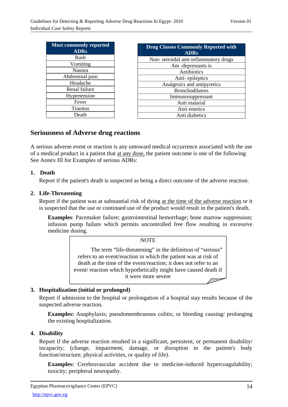| <b>Most commonly reported</b><br><b>ADRs</b> | <b>Drug Classes Commonly Reported with</b><br><b>ADRs</b> |
|----------------------------------------------|-----------------------------------------------------------|
| Rash                                         | Non-steroidal anti-inflammatory drugs                     |
| Vomiting                                     | Ant -depressants is                                       |
| Nausea                                       | Antibiotics                                               |
| Abdominal pain                               | Anti-epileptics                                           |
| Headache                                     | Analgesics and antipyretics                               |
| Renal failure                                | <b>Bronchodilators</b>                                    |
| Hypertension                                 | Immunosuppressant                                         |
| Fever                                        | Anti malarial                                             |
| <b>Tinnitus</b>                              | Anti emetics                                              |
| Death                                        | Anti diabetics                                            |

## **Seriousness of Adverse drug reactions**

A serious adverse event or reaction is any untoward medical occurrence associated with the use of a medical product in a patient that at any dose, the patient outcome is one of the following See Annex III for Examples of serious ADRs:

## **1. Death**

Report if the patient's death is suspected as being a direct outcome of the adverse reaction.

#### **2. Life-Threatening**

Report if the patient was at substantial risk of dying at the time of the adverse reaction or it is suspected that the use or continued use of the product would result in the patient's death.

**Examples**: Pacemaker failure; gastrointestinal hemorrhage; bone marrow suppression; infusion pump failure which permits uncontrolled free flow resulting in excessive medicine dosing.

## **NOTE** The term "life-threatening" in the definition of "serious" refers to an event/reaction in which the patient was at risk of death at the time of the event/reaction; it does not refer to an event/ reaction which hypothetically might have caused death if it were more severe

## **3. Hospitalization (initial or prolonged)**

Report if admission to the hospital or prolongation of a hospital stay results because of the suspected adverse reaction.

**Examples:** Anaphylaxis; pseudomembranous colitis; or bleeding causing/ prolonging the existing hospitalization.

#### **4. Disability**

Report if the adverse reaction resulted in a significant, persistent, or permanent disability/ incapacity; (change, impairment, damage, or disruption in the patient's body function/structure, physical activities, or quality of life).

**Examples:** Cerebrovascular accident due to medicine-induced hypercoagulability; toxicity; peripheral neuropathy.

Egyptian Pharmacovigilance Center (EPVC)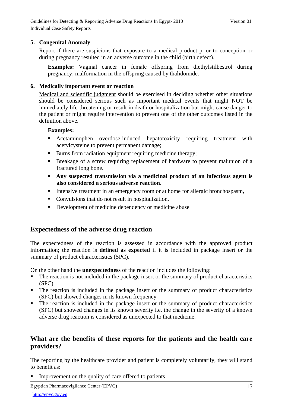#### **5. Congenital Anomaly**

Report if there are suspicions that exposure to a medical product prior to conception or during pregnancy resulted in an adverse outcome in the child (birth defect).

**Examples:** Vaginal cancer in female offspring from diethylstilbestrol during pregnancy; malformation in the offspring caused by thalidomide.

#### **6. Medically important event or reaction**

Medical and scientific judgment should be exercised in deciding whether other situations should be considered serious such as important medical events that might NOT be immediately life-threatening or result in death or hospitalization but might cause danger to the patient or might require intervention to prevent one of the other outcomes listed in the definition above.

#### **Examples:**

- Acetaminophen overdose-induced hepatotoxicity requiring treatment with acetylcysteine to prevent permanent damage;
- Burns from radiation equipment requiring medicine therapy;
- Breakage of a screw requiring replacement of hardware to prevent malunion of a fractured long bone.
- **Any suspected transmission via a medicinal product of an infectious agent is also considered a serious adverse reaction**.
- Intensive treatment in an emergency room or at home for allergic bronchospasm,
- Convulsions that do not result in hospitalization,
- Development of medicine dependency or medicine abuse

## **Expectedness of the adverse drug reaction**

The expectedness of the reaction is assessed in accordance with the approved product information; the reaction is **defined as expected** if it is included in package insert or the summary of product characteristics (SPC).

On the other hand the **unexpectedness** of the reaction includes the following:

- The reaction is not included in the package insert or the summary of product characteristics (SPC).
- The reaction is included in the package insert or the summary of product characteristics (SPC) but showed changes in its known frequency
- The reaction is included in the package insert or the summary of product characteristics (SPC) but showed changes in its known severity i.e. the change in the severity of a known adverse drug reaction is considered as unexpected to that medicine.

## **What are the benefits of these reports for the patients and the health care providers?**

The reporting by the healthcare provider and patient is completely voluntarily, they will stand to benefit as:

**IMPROVEMENT** Improvement on the quality of care offered to patients

Egyptian Pharmacovigilance Center (EPVC)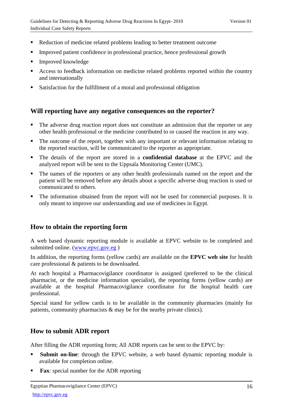- Reduction of medicine related problems leading to better treatment outcome
- Improved patient confidence in professional practice, hence professional growth
- Improved knowledge
- Access to feedback information on medicine related problems reported within the country and internationally
- Satisfaction for the fulfillment of a moral and professional obligation

## **Will reporting have any negative consequences on the reporter?**

- The adverse drug reaction report does not constitute an admission that the reporter or any other health professional or the medicine contributed to or caused the reaction in any way.
- The outcome of the report, together with any important or relevant information relating to the reported reaction, will be communicated to the reporter as appropriate.
- The details of the report are stored in a **confidential database** at the EPVC and the analyzed report will be sent to the Uppsala Monitoring Center (UMC).
- The names of the reporters or any other health professionals named on the report and the patient will be removed before any details about a specific adverse drug reaction is used or communicated to others.
- The information obtained from the report will not be used for commercial purposes. It is only meant to improve our understanding and use of medicines in Egypt.

## **How to obtain the reporting form**

A web based dynamic reporting module is available at EPVC website to be completed and submitted online. (www.epvc.gov.eg )

In addition, the reporting forms (yellow cards) are available on the **EPVC web site** for health care professional & patients to be downloaded.

At each hospital a Pharmacovigilance coordinator is assigned (preferred to be the clinical pharmacist, or the medicine information specialist), the reporting forms (yellow cards) are available at the hospital Pharmacovigilance coordinator for the hospital health care professional.

Special stand for yellow cards is to be available in the community pharmacies (mainly for patients, community pharmacists & may be for the nearby private clinics).

## **How to submit ADR report**

After filling the ADR reporting form; All ADR reports can be sent to the EPVC by:

- **Submit on-line**: through the EPVC website, a web based dynamic reporting module is available for completion online.
- **Fax**: special number for the ADR reporting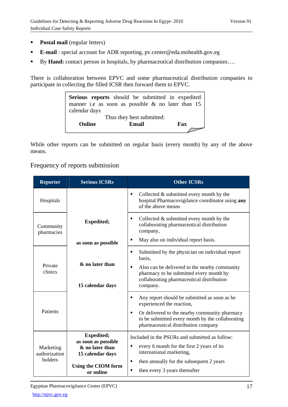- **Postal mail** (regular letters)
- **E-mail** : special account for ADR reporting, pv.center@eda.mohealth.gov.eg
- By **Hand:** contact person in hospitals, by pharmaceutical distribution companies...

There is collaboration between EPVC and some pharmaceutical distribution companies to participate in collecting the filled ICSR then forward them to EPVC.



While other reports can be submitted on regular basis (every month) by any of the above means.

## Frequency of reports submission

| <b>Reporter</b>            | <b>Serious ICSRs</b>                                                            | <b>Other ICSRs</b>                                                                                                                                                                                                              |
|----------------------------|---------------------------------------------------------------------------------|---------------------------------------------------------------------------------------------------------------------------------------------------------------------------------------------------------------------------------|
| Hospitals                  |                                                                                 | Collected $&$ submitted every month by the<br>٠<br>hospital Pharmacovigilance coordinator using any<br>of the above means                                                                                                       |
| Community<br>pharmacies    | <b>Expedited;</b>                                                               | Collected $&$ submitted every month by the<br>٠<br>collaborating pharmaceutical distribution<br>company,<br>May also on individual report basis.<br>٠                                                                           |
|                            | as soon as possible                                                             | Submitted by the physician on individual report<br>٠<br>basis.                                                                                                                                                                  |
| Private<br>clinics         | & no later than<br>15 calendar days                                             | Also can be delivered to the nearby community<br>٠<br>pharmacy to be submitted every month by<br>collaborating pharmaceutical distribution<br>company.                                                                          |
| Patients                   |                                                                                 | Any report should be submitted as soon as he<br>٠<br>experienced the reaction,<br>Or delivered to the nearby community pharmacy<br>٠<br>to be submitted every month by the collaborating<br>pharmaceutical distribution company |
| Marketing<br>authorization | <b>Expedited;</b><br>as soon as possible<br>& no later than<br>15 calendar days | Included in the PSURs and submitted as follow:<br>every 6 month for the first 2 years of its<br>international marketing,                                                                                                        |
| holders                    | Using the CIOM form<br>or online                                                | then annually for the subsequent 2 years<br>٠<br>then every 3 years thereafter<br>٠                                                                                                                                             |

Egyptian Pharmacovigilance Center (EPVC)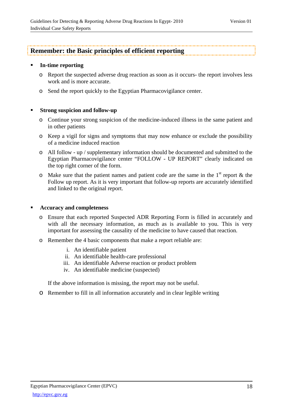## **Remember: the Basic principles of efficient reporting**

#### **In-time reporting**

- o Report the suspected adverse drug reaction as soon as it occurs- the report involves less work and is more accurate.
- o Send the report quickly to the Egyptian Pharmacovigilance center.

## **Strong suspicion and follow-up**

- o Continue your strong suspicion of the medicine-induced illness in the same patient and in other patients
- o Keep a vigil for signs and symptoms that may now enhance or exclude the possibility of a medicine induced reaction
- o All follow up / supplementary information should be documented and submitted to the Egyptian Pharmacovigilance center "FOLLOW - UP REPORT" clearly indicated on the top right corner of the form.
- $\circ$  Make sure that the patient names and patient code are the same in the 1<sup>st</sup> report & the Follow up report. As it is very important that follow-up reports are accurately identified and linked to the original report.

## **Accuracy and completeness**

- o Ensure that each reported Suspected ADR Reporting Form is filled in accurately and with all the necessary information, as much as is available to you. This is very important for assessing the causality of the medicine to have caused that reaction.
- o Remember the 4 basic components that make a report reliable are:
	- i. An identifiable patient
	- ii. An identifiable health-care professional
	- iii. An identifiable Adverse reaction or product problem
	- iv. An identifiable medicine (suspected)

If the above information is missing, the report may not be useful.

o Remember to fill in all information accurately and in clear legible writing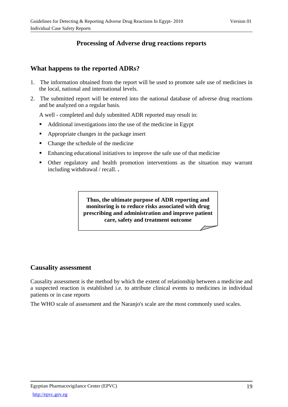## **Processing of Adverse drug reactions reports**

## **What happens to the reported ADRs?**

- 1. The information obtained from the report will be used to promote safe use of medicines in the local, national and international levels.
- 2. The submitted report will be entered into the national database of adverse drug reactions and be analyzed on a regular basis.

A well - completed and duly submitted ADR reported may result in:

- Additional investigations into the use of the medicine in Egypt
- Appropriate changes in the package insert
- Change the schedule of the medicine
- Enhancing educational initiatives to improve the safe use of that medicine
- Other regulatory and health promotion interventions as the situation may warrant including withdrawal / recall. **.**

**Thus, the ultimate purpose of ADR reporting and monitoring is to reduce risks associated with drug prescribing and administration and improve patient care, safety and treatment outcome**

## **Causality assessment**

Causality assessment is the method by which the extent of relationship between a medicine and a suspected reaction is established i.e. to attribute clinical events to medicines in individual patients or in case reports

The WHO scale of assessment and the Naranjo's scale are the most commonly used scales.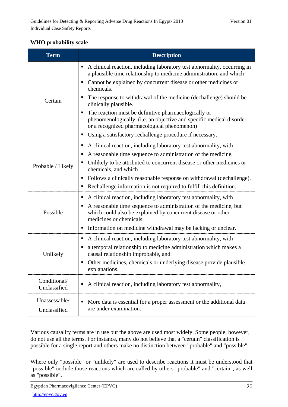## **WHO probability scale**

| <b>Term</b>                   | <b>Description</b>                                                                                                                                                          |
|-------------------------------|-----------------------------------------------------------------------------------------------------------------------------------------------------------------------------|
|                               | A clinical reaction, including laboratory test abnormality, occurring in<br>a plausible time relationship to medicine administration, and which                             |
|                               | Cannot be explained by concurrent disease or other medicines or<br>chemicals.                                                                                               |
| Certain                       | The response to withdrawal of the medicine (dechallenge) should be<br>٠<br>clinically plausible.                                                                            |
|                               | The reaction must be definitive pharmacologically or<br>phenomenologically, (i.e. an objective and specific medical disorder<br>or a recognized pharmacological phenomenon) |
|                               | Using a satisfactory rechallenge procedure if necessary.                                                                                                                    |
|                               | A clinical reaction, including laboratory test abnormality, with                                                                                                            |
|                               | A reasonable time sequence to administration of the medicine,                                                                                                               |
| Probable / Likely             | Unlikely to be attributed to concurrent disease or other medicines or<br>chemicals, and which                                                                               |
|                               | Follows a clinically reasonable response on withdrawal (dechallenge).<br>п                                                                                                  |
|                               | Rechallenge information is not required to fulfill this definition.                                                                                                         |
|                               | A clinical reaction, including laboratory test abnormality, with<br>п                                                                                                       |
| Possible                      | A reasonable time sequence to administration of the medicine, but<br>which could also be explained by concurrent disease or other<br>medicines or chemicals.                |
|                               | Information on medicine withdrawal may be lacking or unclear.                                                                                                               |
|                               | A clinical reaction, including laboratory test abnormality, with                                                                                                            |
| Unlikely                      | a temporal relationship to medicine administration which makes a<br>causal relationship improbable, and                                                                     |
|                               | Other medicines, chemicals or underlying disease provide plausible<br>п<br>explanations.                                                                                    |
| Conditional/<br>Unclassified  | A clinical reaction, including laboratory test abnormality,                                                                                                                 |
| Unassessable/<br>Unclassified | More data is essential for a proper assessment or the additional data<br>are under examination.                                                                             |

Various causality terms are in use but the above are used most widely. Some people, however, do not use all the terms. For instance, many do not believe that a "certain" classification is possible for a single report and others make no distinction between "probable" and "possible".

Where only "possible" or "unlikely" are used to describe reactions it must be understood that "possible" include those reactions which are called by others "probable" and "certain", as well as "possible".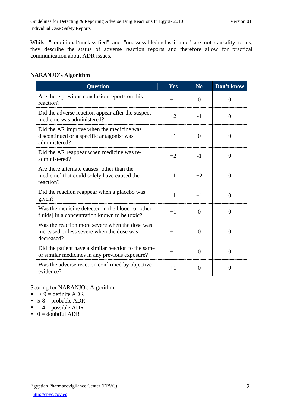Whilst "conditional/unclassified" and "unassessible/unclassifiable" are not causality terms, they describe the status of adverse reaction reports and therefore allow for practical communication about ADR issues.

## **NARANJO's Algorithm**

| <b>Question</b>                                                                                            | Yes  | N <sub>0</sub> | Don't know     |
|------------------------------------------------------------------------------------------------------------|------|----------------|----------------|
| Are there previous conclusion reports on this<br>reaction?                                                 | $+1$ | $\Omega$       | $\theta$       |
| Did the adverse reaction appear after the suspect<br>medicine was administered?                            | $+2$ | $-1$           | $\Omega$       |
| Did the AR improve when the medicine was<br>discontinued or a specific antagonist was<br>administered?     | $+1$ | $\Omega$       | $\theta$       |
| Did the AR reappear when medicine was re-<br>administered?                                                 | $+2$ | $-1$           | $\theta$       |
| Are there alternate causes [other than the<br>medicine] that could solely have caused the<br>reaction?     | $-1$ | $+2$           | $\overline{0}$ |
| Did the reaction reappear when a placebo was<br>given?                                                     | $-1$ | $+1$           | $\theta$       |
| Was the medicine detected in the blood [or other<br>fluids] in a concentration known to be toxic?          | $+1$ | $\Omega$       | $\theta$       |
| Was the reaction more severe when the dose was<br>increased or less severe when the dose was<br>decreased? | $+1$ | $\Omega$       | $\theta$       |
| Did the patient have a similar reaction to the same<br>or similar medicines in any previous exposure?      | $+1$ | $\Omega$       | $\theta$       |
| Was the adverse reaction confirmed by objective<br>evidence?                                               | $+1$ | $\Omega$       | $\Omega$       |

Scoring for NARANJO's Algorithm

- $\rightarrow$  9 = definite ADR
- $\overline{\phantom{0}}$  5-8 = probable ADR
- $\blacksquare$  1-4 = possible ADR
- $\bullet$  0 = doubtful ADR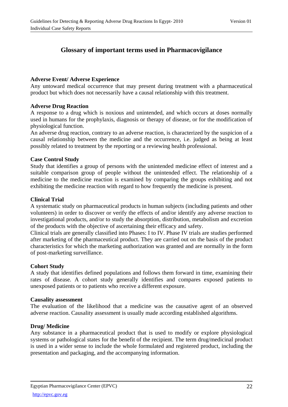## **Glossary of important terms used in Pharmacovigilance**

## **Adverse Event/ Adverse Experience**

Any untoward medical occurrence that may present during treatment with a pharmaceutical product but which does not necessarily have a causal relationship with this treatment.

## **Adverse Drug Reaction**

A response to a drug which is noxious and unintended, and which occurs at doses normally used in humans for the prophylaxis, diagnosis or therapy of disease, or for the modification of physiological function.

An adverse drug reaction, contrary to an adverse reaction, is characterized by the suspicion of a causal relationship between the medicine and the occurrence, i.e. judged as being at least possibly related to treatment by the reporting or a reviewing health professional.

## **Case Control Study**

Study that identifies a group of persons with the unintended medicine effect of interest and a suitable comparison group of people without the unintended effect. The relationship of a medicine to the medicine reaction is examined by comparing the groups exhibiting and not exhibiting the medicine reaction with regard to how frequently the medicine is present.

## **Clinical Trial**

A systematic study on pharmaceutical products in human subjects (including patients and other volunteers) in order to discover or verify the effects of and/or identify any adverse reaction to investigational products, and/or to study the absorption, distribution, metabolism and excretion of the products with the objective of ascertaining their efficacy and safety.

Clinical trials are generally classified into Phases: I to IV. Phase IV trials are studies performed after marketing of the pharmaceutical product. They are carried out on the basis of the product characteristics for which the marketing authorization was granted and are normally in the form of post-marketing surveillance.

## **Cohort Study**

A study that identifies defined populations and follows them forward in time, examining their rates of disease. A cohort study generally identifies and compares exposed patients to unexposed patients or to patients who receive a different exposure.

## **Causality assessment**

The evaluation of the likelihood that a medicine was the causative agent of an observed adverse reaction. Causality assessment is usually made according established algorithms.

## **Drug/ Medicine**

Any substance in a pharmaceutical product that is used to modify or explore physiological systems or pathological states for the benefit of the recipient. The term drug/medicinal product is used in a wider sense to include the whole formulated and registered product, including the presentation and packaging, and the accompanying information.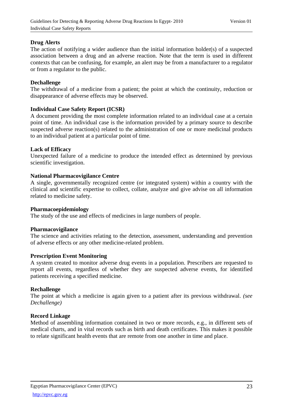#### **Drug Alerts**

The action of notifying a wider audience than the initial information holder(s) of a suspected association between a drug and an adverse reaction. Note that the term is used in different contexts that can be confusing, for example, an alert may be from a manufacturer to a regulator or from a regulator to the public.

#### **Dechallenge**

The withdrawal of a medicine from a patient; the point at which the continuity, reduction or disappearance of adverse effects may be observed.

#### **Individual Case Safety Report (ICSR)**

A document providing the most complete information related to an individual case at a certain point of time. An individual case is the information provided by a primary source to describe suspected adverse reaction(s) related to the administration of one or more medicinal products to an individual patient at a particular point of time.

#### **Lack of Efficacy**

Unexpected failure of a medicine to produce the intended effect as determined by previous scientific investigation.

#### **National Pharmacovigilance Centre**

A single, governmentally recognized centre (or integrated system) within a country with the clinical and scientific expertise to collect, collate, analyze and give advise on all information related to medicine safety.

#### **Pharmacoepidemiology**

The study of the use and effects of medicines in large numbers of people.

#### **Pharmacovigilance**

The science and activities relating to the detection, assessment, understanding and prevention of adverse effects or any other medicine-related problem.

#### **Prescription Event Monitoring**

A system created to monitor adverse drug events in a population. Prescribers are requested to report all events, regardless of whether they are suspected adverse events, for identified patients receiving a specified medicine.

#### **Rechallenge**

The point at which a medicine is again given to a patient after its previous withdrawal. *(see Dechallenge)* 

#### **Record Linkage**

Method of assembling information contained in two or more records, e.g., in different sets of medical charts, and in vital records such as birth and death certificates. This makes it possible to relate significant health events that are remote from one another in time and place.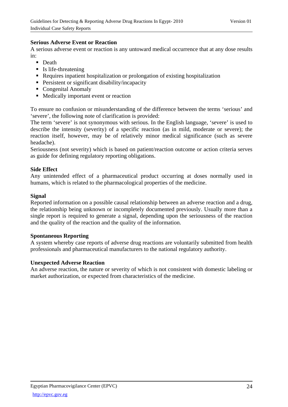## **Serious Adverse Event or Reaction**

A serious adverse event or reaction is any untoward medical occurrence that at any dose results in:

- Death
- $\blacksquare$  Is life-threatening
- Requires inpatient hospitalization or prolongation of existing hospitalization
- **Persistent or significant disability/incapacity**
- Congenital Anomaly
- **Medically important event or reaction**

To ensure no confusion or misunderstanding of the difference between the terms 'serious' and 'severe', the following note of clarification is provided:

The term 'severe' is not synonymous with serious. In the English language, 'severe' is used to describe the intensity (severity) of a specific reaction (as in mild, moderate or severe); the reaction itself, however, may be of relatively minor medical significance (such as severe headache).

Seriousness (not severity) which is based on patient/reaction outcome or action criteria serves as guide for defining regulatory reporting obligations.

## **Side Effect**

Any unintended effect of a pharmaceutical product occurring at doses normally used in humans, which is related to the pharmacological properties of the medicine.

#### **Signal**

Reported information on a possible causal relationship between an adverse reaction and a drug, the relationship being unknown or incompletely documented previously. Usually more than a single report is required to generate a signal, depending upon the seriousness of the reaction and the quality of the reaction and the quality of the information.

#### **Spontaneous Reporting**

A system whereby case reports of adverse drug reactions are voluntarily submitted from health professionals and pharmaceutical manufacturers to the national regulatory authority.

#### **Unexpected Adverse Reaction**

An adverse reaction, the nature or severity of which is not consistent with domestic labeling or market authorization, or expected from characteristics of the medicine.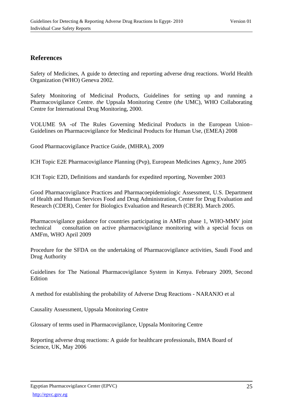## **References**

Safety of Medicines, A guide to detecting and reporting adverse drug reactions. World Health Organization (WHO) Geneva 2002.

Safety Monitoring of Medicinal Products, Guidelines for setting up and running a Pharmacovigilance Centre. *the* Uppsala Monitoring Centre (*the* UMC), WHO Collaborating Centre for International Drug Monitoring, 2000.

VOLUME 9A -of The Rules Governing Medicinal Products in the European Union– Guidelines on Pharmacovigilance for Medicinal Products for Human Use, (EMEA) 2008

Good Pharmacovigilance Practice Guide, (MHRA), 2009

ICH Topic E2E Pharmacovigilance Planning (Pvp), European Medicines Agency, June 2005

ICH Topic E2D, Definitions and standards for expedited reporting, November 2003

Good Pharmacovigilance Practices and Pharmacoepidemiologic Assessment, U.S. Department of Health and Human Services Food and Drug Administration, Center for Drug Evaluation and Research (CDER), Center for Biologics Evaluation and Research (CBER). March 2005.

Pharmacovigilance guidance for countries participating in AMFm phase 1, WHO-MMV joint technical consultation on active pharmacovigilance monitoring with a special focus on AMFm, WHO April 2009

Procedure for the SFDA on the undertaking of Pharmacovigilance activities, Saudi Food and Drug Authority

Guidelines for The National Pharmacovigilance System in Kenya. February 2009, Second Edition

A method for establishing the probability of Adverse Drug Reactions - NARANJO et al

Causality Assessment, Uppsala Monitoring Centre

Glossary of terms used in Pharmacovigilance, Uppsala Monitoring Centre

Reporting adverse drug reactions: A guide for healthcare professionals, BMA Board of Science, UK, May 2006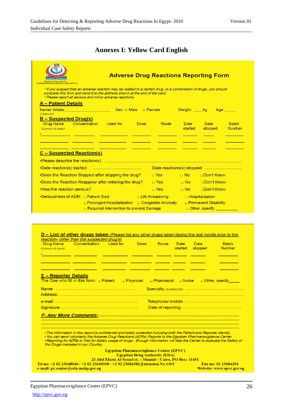# **Annexes I: Yellow Card English**

| <b>Egyptian Drug Aythority</b><br>Egyptian Pharmacovigilance Center (EPVC) | <b>Adverse Drug Reactions Reporting Form</b>                                                                                                                                                                                                                 |                         |                        |                               |                               |
|----------------------------------------------------------------------------|--------------------------------------------------------------------------------------------------------------------------------------------------------------------------------------------------------------------------------------------------------------|-------------------------|------------------------|-------------------------------|-------------------------------|
|                                                                            | * If you suspect that an adverse reaction may be related to a certain drug, or a combination of drugs, you should<br>complete this form and send it to the address shown at the end of the card.<br>* Please report all serious and minor adverse reactions. |                         |                        |                               |                               |
| <b>A</b> - Patient Details                                                 |                                                                                                                                                                                                                                                              |                         |                        |                               |                               |
|                                                                            | Name/ initials: _________________________________Sex: □ Male   □ Female     Weight: _____kg                                                                                                                                                                  |                         |                        |                               | Age: Age:                     |
| (Optional)<br><b>B</b> – Suspected Drug(s)                                 |                                                                                                                                                                                                                                                              |                         |                        |                               |                               |
| (Generic & trade)                                                          | <b>Drug Name Concentration Used for Dose</b>                                                                                                                                                                                                                 | Route                   | <b>Date</b><br>started | Date Date<br>stopped          | <b>Batch</b><br><b>Number</b> |
|                                                                            | <u> 1989 - An Aonaichte ann an Catharine ann an t-</u>                                                                                                                                                                                                       |                         |                        |                               |                               |
|                                                                            |                                                                                                                                                                                                                                                              |                         |                        |                               |                               |
| <b>C</b> - Suspected Reaction(s)                                           |                                                                                                                                                                                                                                                              |                         |                        |                               |                               |
|                                                                            | •Please describe the reaction(s): in the contract of the contract of the contract of the contract of the contract of the contract of the contract of the contract of the contract of the contract of the contract of the contr                               |                         |                        |                               |                               |
|                                                                            |                                                                                                                                                                                                                                                              |                         |                        |                               |                               |
|                                                                            | •Does the Reaction Stopped after stopping the drug?                                                                                                                                                                                                          | □ Yes                   |                        | □ No □ □ Don't Know           |                               |
|                                                                            | •Does the Reaction Reappear after retaking the drug?                                                                                                                                                                                                         | □ Yes □ No □ Don't Know |                        |                               |                               |
| . Was the reaction serious?                                                |                                                                                                                                                                                                                                                              | $\Box$ Yes              | $\Box$ No $\Box$       | <b>nDon't Know</b>            |                               |
|                                                                            | •Seriousness of ADR: $\Box$ Patient Died $\Box$ Extra Extra Extra Extra Extra Extra Extra Extra Extra Extra Extra Extra Extra Extra Extra Extra Extra Extra Extra Extra Extra Extra Extra Extra Extra Extra Extra Extra Extra Ext                            |                         |                        |                               |                               |
|                                                                            | <b>D</b> Prolonged Hospitalization D Congenital Anomaly                                                                                                                                                                                                      |                         |                        | <b>D</b> Permanent Disability |                               |
|                                                                            | □ Required intervention to prevent Damage                                                                                                                                                                                                                    |                         |                        | <b>D</b> Other, specify       |                               |

|                                       | reaction- other than the suspected drug/s)                                                                                                                       |                                                            |                                      |                        |                        |                        |                               |
|---------------------------------------|------------------------------------------------------------------------------------------------------------------------------------------------------------------|------------------------------------------------------------|--------------------------------------|------------------------|------------------------|------------------------|-------------------------------|
| <b>Drug Name</b><br>(Generic & trade) | <b>Concentration</b> Used for                                                                                                                                    |                                                            | <b>Dose</b>                          | Route                  | <b>Date</b><br>started | <b>Date</b><br>stopped | <b>Batch</b><br><b>Number</b> |
|                                       |                                                                                                                                                                  |                                                            |                                      |                        |                        |                        |                               |
|                                       |                                                                                                                                                                  |                                                            |                                      |                        |                        |                        |                               |
|                                       |                                                                                                                                                                  |                                                            |                                      |                        |                        |                        |                               |
|                                       |                                                                                                                                                                  |                                                            |                                      |                        |                        |                        |                               |
| <u>E – Reporter Details</u>           |                                                                                                                                                                  |                                                            |                                      |                        |                        |                        |                               |
|                                       | The One who fill in this form: $\Box$ Patient                                                                                                                    |                                                            | □ Physician                          | – Pharmacist – Nurse – |                        |                        | □ Other, specify              |
|                                       |                                                                                                                                                                  |                                                            |                                      |                        |                        |                        |                               |
|                                       |                                                                                                                                                                  |                                                            |                                      |                        |                        |                        |                               |
|                                       |                                                                                                                                                                  |                                                            |                                      |                        |                        |                        |                               |
|                                       |                                                                                                                                                                  |                                                            |                                      |                        |                        |                        |                               |
|                                       |                                                                                                                                                                  |                                                            |                                      |                        |                        |                        |                               |
|                                       |                                                                                                                                                                  |                                                            |                                      |                        |                        |                        |                               |
|                                       |                                                                                                                                                                  |                                                            |                                      |                        |                        |                        |                               |
|                                       | . The information in this report is confidential and totally protected including both the Patient and Reporter identity.                                         |                                                            |                                      |                        |                        |                        |                               |
|                                       |                                                                                                                                                                  |                                                            |                                      |                        |                        |                        |                               |
|                                       | • You can send voluntarily the Adverse Drug Reactions (ADRs) Reports to the Egyptian Pharmacovigilance Center.                                                   |                                                            |                                      |                        |                        |                        |                               |
|                                       | •Reporting for ADRs is Vital for Safely usage of drugs . Enough information will help the Center to evaluate the Safety of<br>the Drugs marketed in our Country. |                                                            |                                      |                        |                        |                        |                               |
|                                       |                                                                                                                                                                  |                                                            |                                      |                        |                        |                        |                               |
|                                       |                                                                                                                                                                  | <b>Egyptian Pharmacovigilance Center (EPVC)</b>            | <b>Egyptian Drug Authority (EDA)</b> |                        |                        |                        |                               |
|                                       | Tel no: +2 02 23648046 / +2 02 23640368 / +2 02 23684381, Extension No.1303                                                                                      | 21 Abd Elaziz Al Souad st. - Manial - Cairo, PO Box: 11451 |                                      |                        |                        |                        | Fax no: 02 23684194           |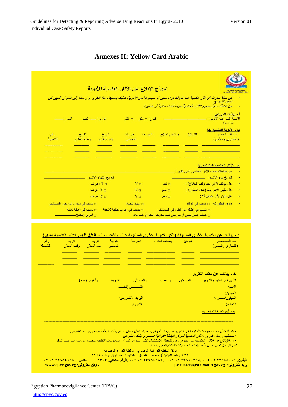|                                                                                                                                                  | نموذج الإبلاغ عن الآثار العكسية للأدوية   |                           | طة الدواع المصرية.<br>لنفظة الدواعة المصر و                                        |
|--------------------------------------------------------------------------------------------------------------------------------------------------|-------------------------------------------|---------------------------|------------------------------------------------------------------------------------|
| في حالة حدوث أي آثار عكسية عند تناولك دواء معين أو مجموعة من الأدوية، فعليك باستيفاء هذا التقرير و ارساله إلى العنوان المبين في<br>أسفل النموذج. |                                           |                           | من فضلك سجل جميع الآثار العكسية سواء كانت عادية أو خطيرة.                          |
| العمر: ___<br>الوزن: ____ كجم                                                                                                                    | النوع: D ذكر D أنثى                       |                           | <mark>أ - بيانات المريض</mark><br>الاسم/ الحروف الأولى:<br>. <i>(إختيارى)</i>      |
| رقم<br>تاريخ<br>وقف العلاج<br>التشغيلة                                                                                                           | طريقة<br>تاريخ<br>بدء العلاج<br>التعاطي   | يستخدم لعلاج الجرعة       | <u>ب - الأدوية المشتبه بها</u><br>اسم المستحضر<br>التركيز<br>(التجاري والعلمي)     |
|                                                                                                                                                  |                                           |                           |                                                                                    |
|                                                                                                                                                  |                                           |                           | <mark>ج - الآثار العكسية المشتبة بها</mark><br>من فضلك صف الأثر العكسي الذي ظهر :_ |
| تاريخ إنتهاء الأثـــر : _                                                                                                                        |                                           |                           |                                                                                    |
| □ لا أعرف                                                                                                                                        | Y <sub>0</sub>                            | $\overline{\phantom{aa}}$ | هل توقف الأثر بعد وقف العلاج؟ :                                                    |
| □ لا أعرف                                                                                                                                        | Y <sub>0</sub>                            | □ نعم                     | هل ظهر الأثر بعد إعادة العلاج؟ :                                                   |
| <b>□ لا أعرف</b>                                                                                                                                 | Y <sub>0</sub>                            | $\overline{\phantom{aa}}$ | <mark>هل كان الأثر خطير أ؟ :</mark> مستقط                                          |
| □ تسبب في دخول المريض المستشفى                                                                                                                   | □ مهدد للحياة                             |                           | <mark>مدی خطورته:</mark> □ تسبب في الوفاة                                          |
| □ تسبب في إعاقة دائمة                                                                                                                            | <mark>□ تسبب في حبو ب خلقية للأجنة</mark> |                           | □ تَسبب في إطالة مدة البقاء في المستشفى                                            |
|                                                                                                                                                  |                                           |                           | □ تطلب تدخل طبي أو جر احي لمنع حدوث إعاقة أو تلف دائم                              |

## **Annexes II: Yellow Card Arabic**

| رقم<br>التشغيلة | تاريخ<br><mark>تاریخ</mark> ت<br>وقف العلاج<br>بدء العلاج                                                                       | طريقة.<br>التعاطي                                             | الجرعة                     | يستخدم لعلاج                                        | التركيز               | اسم المستحضر المستحضر<br>(التجاري والعلمي)                                                                           |
|-----------------|---------------------------------------------------------------------------------------------------------------------------------|---------------------------------------------------------------|----------------------------|-----------------------------------------------------|-----------------------|----------------------------------------------------------------------------------------------------------------------|
|                 |                                                                                                                                 |                                                               |                            |                                                     |                       |                                                                                                                      |
|                 |                                                                                                                                 |                                                               |                            |                                                     |                       |                                                                                                                      |
|                 |                                                                                                                                 |                                                               |                            |                                                     |                       | <u>ه - بيانات عن مقدم التقرير</u>                                                                                    |
|                 | <mark>□ أخرى (حدد):_</mark>                                                                                                     | □ التمريض                                                     | <mark>□ الصيدل</mark> ى    | □ الطبيب                                            | _ <del>∟</del> المريض | االذي قام باستيفاء التقرير                                                                                           |
|                 |                                                                                                                                 |                                                               | التخصص <i>(للطبيب): __</i> |                                                     |                       |                                                                                                                      |
|                 |                                                                                                                                 |                                                               |                            |                                                     |                       | <u>العنوان: ___________________________________</u>                                                                  |
|                 |                                                                                                                                 | البريد الإلكتروني ______                                      |                            |                                                     |                       |                                                                                                                      |
|                 |                                                                                                                                 | التاريخ __________________                                    |                            |                                                     |                       |                                                                                                                      |
|                 |                                                                                                                                 |                                                               |                            |                                                     |                       |                                                                                                                      |
|                 |                                                                                                                                 |                                                               |                            |                                                     |                       |                                                                                                                      |
|                 |                                                                                                                                 |                                                               |                            |                                                     |                       | • يتم التعامل مع المعلومات الواردة في التقرير. بسرية تامة وهي محمية بشكل كامل بما في ذلك هوية المريض و معد التقرير . |
|                 |                                                                                                                                 |                                                               |                            |                                                     |                       | • تستطيع إرسال تقارير. الآثار. العكسية لمركز. اليقظة الدوائية المصري بشكل تطوعي.                                     |
|                 |                                                                                                                                 |                                                               |                            |                                                     |                       |                                                                                                                      |
|                 | • إن الإبلاغ عن الأثار العكسية أس حيوي وهام لتحقيق الاستخدام الآمن للدواء. كما أن المعلومات الكافية المقدمة من قبل المرضىي تمكن |                                                               |                            |                                                     |                       |                                                                                                                      |
|                 |                                                                                                                                 |                                                               |                            |                                                     |                       |                                                                                                                      |
|                 |                                                                                                                                 | ۲۱ ش عبد العزيز آل سعود _ المنيل _ القاهرة ، صندوق بريد ۱۱٤۰۱ |                            | مركز البِقظة الدوائية المصر ي _ سلطة الدواء المصرية |                       | المركز من تقدير. مدى مأمونية المستحضر ات المتداولة في بلادنا .                                                       |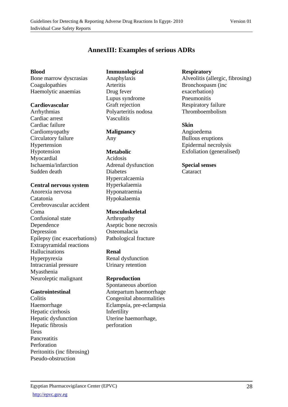## **AnnexIII: Examples of serious ADRs**

#### **Blood**

Bone marrow dyscrasias Coagulopathies Haemolytic anaemias

#### **Cardiovascular**

Arrhythmias Cardiac arrest Cardiac failure Cardiomyopathy Circulatory failure Hypertension Hypotension Myocardial Ischaemia/infarction Sudden death

## **Central nervous system**

Anorexia nervosa Catatonia Cerebrovascular accident Coma Confusional state Dependence Depression Epilepsy (inc exacerbations) Extrapyramidal reactions Hallucinations Hyperpyrexia Intracranial pressure Myasthenia Neuroleptic malignant

## **Gastrointestinal**

**Colitis** Haemorrhage Hepatic cirrhosis Hepatic dysfunction Hepatic fibrosis Ileus **Pancreatitis** Perforation Peritonitis (inc fibrosing) Pseudo-obstruction

## **Immunological**

Anaphylaxis **Arteritis** Drug fever Lupus syndrome Graft rejection Polyarteritis nodosa Vasculitis

#### **Malignancy**  Any

## **Metabolic**

Acidosis Adrenal dysfunction Diabetes Hypercalcaemia Hyperkalaemia Hyponatraemia Hypokalaemia

## **Musculoskeletal**

Arthropathy Aseptic bone necrosis Osteomalacia Pathological fracture

## **Renal**

Renal dysfunction Urinary retention

## **Reproduction**

Spontaneous abortion Antepartum haemorrhage Congenital abnormalities Eclampsia, pre-eclampsia Infertility Uterine haemorrhage, perforation

## **Respiratory**

Alveolitis (allergic, fibrosing) Bronchospasm (inc exacerbation) Pneumonitis Respiratory failure Thromboembolism

## **Skin**

Angioedema Bullous eruptions Epidermal necrolysis Exfoliation (generalised)

**Special senses**  Cataract